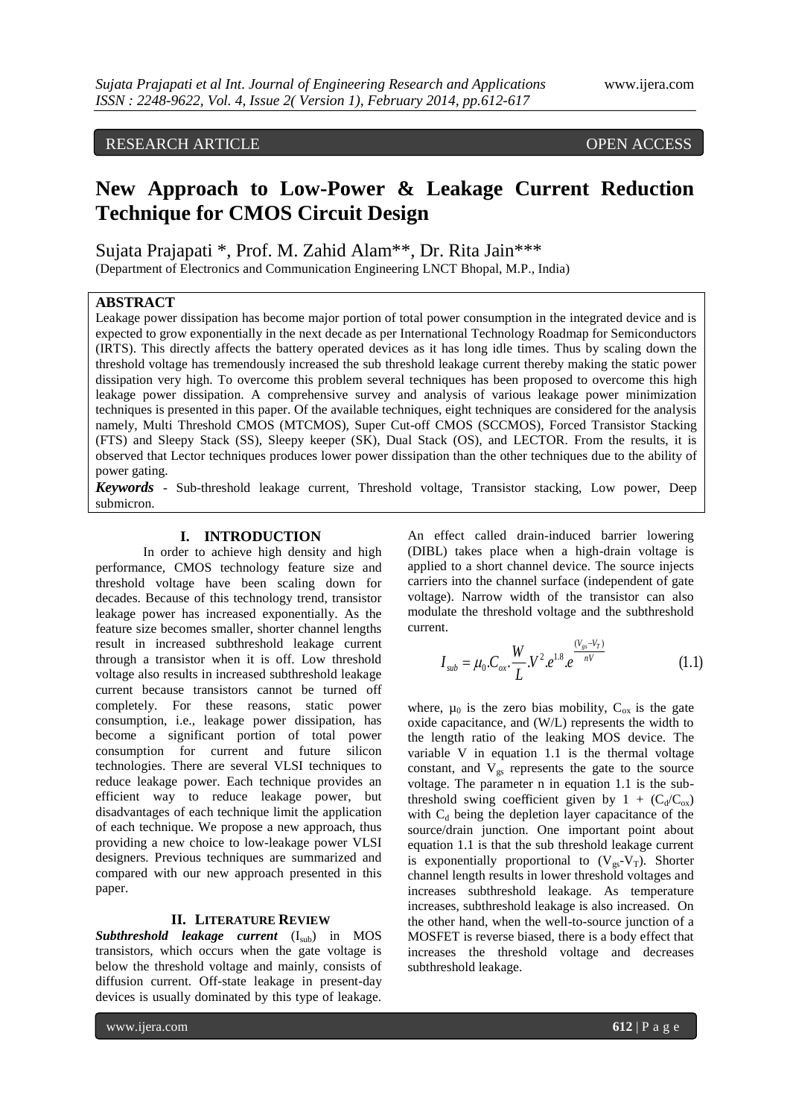# RESEARCH ARTICLE OPEN ACCESS

# **New Approach to Low-Power & Leakage Current Reduction Technique for CMOS Circuit Design**

Sujata Prajapati \*, Prof. M. Zahid Alam\*\*, Dr. Rita Jain\*\*\* (Department of Electronics and Communication Engineering LNCT Bhopal, M.P., India)

### **ABSTRACT**

Leakage power dissipation has become major portion of total power consumption in the integrated device and is expected to grow exponentially in the next decade as per International Technology Roadmap for Semiconductors (IRTS). This directly affects the battery operated devices as it has long idle times. Thus by scaling down the threshold voltage has tremendously increased the sub threshold leakage current thereby making the static power dissipation very high. To overcome this problem several techniques has been proposed to overcome this high leakage power dissipation. A comprehensive survey and analysis of various leakage power minimization techniques is presented in this paper. Of the available techniques, eight techniques are considered for the analysis namely, Multi Threshold CMOS (MTCMOS), Super Cut-off CMOS (SCCMOS), Forced Transistor Stacking (FTS) and Sleepy Stack (SS), Sleepy keeper (SK), Dual Stack (OS), and LECTOR. From the results, it is observed that Lector techniques produces lower power dissipation than the other techniques due to the ability of power gating.

*Keywords* - Sub-threshold leakage current, Threshold voltage, Transistor stacking, Low power, Deep submicron.

#### **I. INTRODUCTION**

In order to achieve high density and high performance, CMOS technology feature size and threshold voltage have been scaling down for decades. Because of this technology trend, transistor leakage power has increased exponentially. As the feature size becomes smaller, shorter channel lengths result in increased subthreshold leakage current through a transistor when it is off. Low threshold voltage also results in increased subthreshold leakage current because transistors cannot be turned off completely. For these reasons, static power consumption, i.e., leakage power dissipation, has become a significant portion of total power consumption for current and future silicon technologies. There are several VLSI techniques to reduce leakage power. Each technique provides an efficient way to reduce leakage power, but disadvantages of each technique limit the application of each technique. We propose a new approach, thus providing a new choice to low-leakage power VLSI designers. Previous techniques are summarized and compared with our new approach presented in this paper.

#### **II. LITERATURE REVIEW**

*Subthreshold leakage current* (I<sub>sub</sub>) in MOS transistors, which occurs when the gate voltage is below the threshold voltage and mainly, consists of diffusion current. Off-state leakage in present-day devices is usually dominated by this type of leakage.

www.ijera.com **612** | P a g e

An effect called drain-induced barrier lowering (DIBL) takes place when a high-drain voltage is applied to a short channel device. The source injects carriers into the channel surface (independent of gate voltage). Narrow width of the transistor can also modulate the threshold voltage and the subthreshold current.

$$
I_{sub} = \mu_0.C_{ox} \cdot \frac{W}{L} . V^2 . e^{1.8} . e^{\frac{(V_{gs} - V_T)}{nV}}
$$
 (1.1)

where,  $\mu_0$  is the zero bias mobility,  $C_{ox}$  is the gate oxide capacitance, and (W/L) represents the width to the length ratio of the leaking MOS device. The variable V in equation 1.1 is the thermal voltage constant, and  $V_{gs}$  represents the gate to the source voltage. The parameter n in equation 1.1 is the subthreshold swing coefficient given by  $1 + (C_d/C_{ox})$ with  $C_d$  being the depletion layer capacitance of the source/drain junction. One important point about equation 1.1 is that the sub threshold leakage current is exponentially proportional to  $(V_{gs}-V_T)$ . Shorter channel length results in lower threshold voltages and increases subthreshold leakage. As temperature increases, subthreshold leakage is also increased. On the other hand, when the well-to-source junction of a MOSFET is reverse biased, there is a body effect that increases the threshold voltage and decreases subthreshold leakage.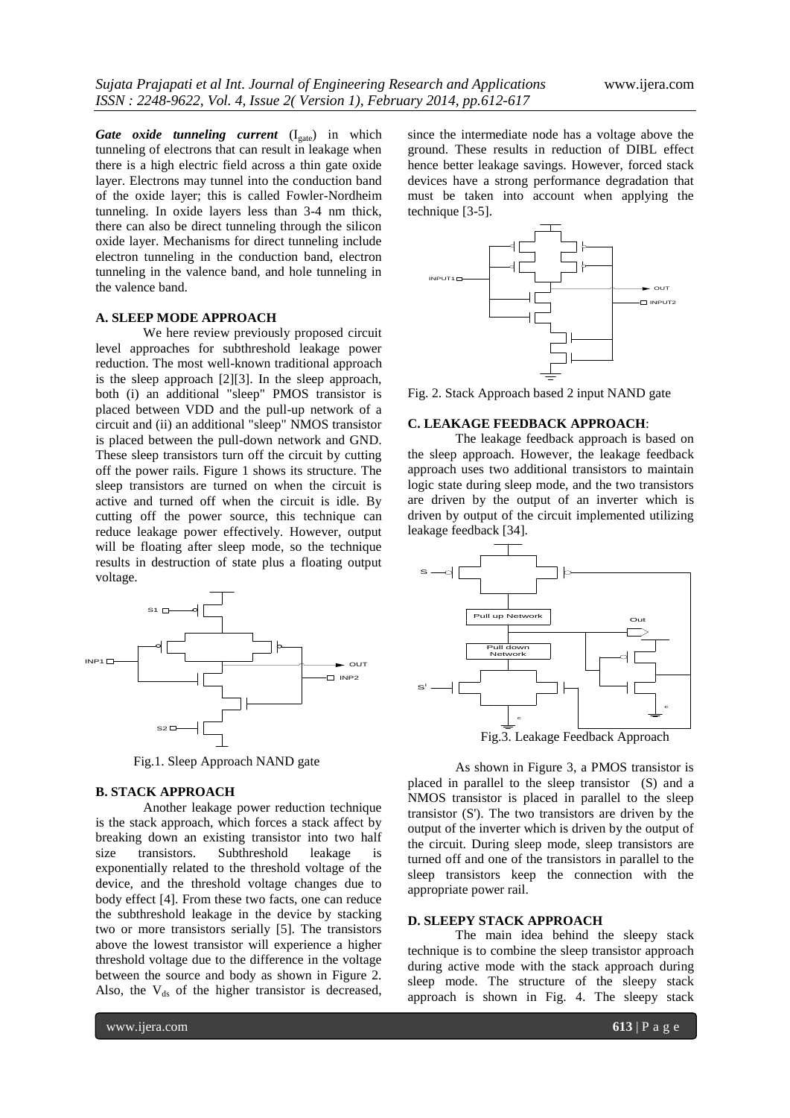*Gate oxide tunneling current* (I<sub>gate</sub>) in which tunneling of electrons that can result in leakage when there is a high electric field across a thin gate oxide layer. Electrons may tunnel into the conduction band of the oxide layer; this is called Fowler-Nordheim tunneling. In oxide layers less than 3-4 nm thick, there can also be direct tunneling through the silicon oxide layer. Mechanisms for direct tunneling include electron tunneling in the conduction band, electron tunneling in the valence band, and hole tunneling in the valence band.

#### **A. SLEEP MODE APPROACH**

We here review previously proposed circuit level approaches for subthreshold leakage power reduction. The most well-known traditional approach is the sleep approach [2][3]. In the sleep approach, both (i) an additional "sleep" PMOS transistor is placed between VDD and the pull-up network of a circuit and (ii) an additional "sleep" NMOS transistor is placed between the pull-down network and GND. These sleep transistors turn off the circuit by cutting off the power rails. Figure 1 shows its structure. The sleep transistors are turned on when the circuit is active and turned off when the circuit is idle. By cutting off the power source, this technique can reduce leakage power effectively. However, output will be floating after sleep mode, so the technique results in destruction of state plus a floating output voltage.



Fig.1. Sleep Approach NAND gate

#### **B. STACK APPROACH**

Another leakage power reduction technique is the stack approach, which forces a stack affect by breaking down an existing transistor into two half size transistors. Subthreshold leakage is exponentially related to the threshold voltage of the device, and the threshold voltage changes due to body effect [4]. From these two facts, one can reduce the subthreshold leakage in the device by stacking two or more transistors serially [5]. The transistors above the lowest transistor will experience a higher threshold voltage due to the difference in the voltage between the source and body as shown in Figure 2. Also, the  $V_{ds}$  of the higher transistor is decreased,

since the intermediate node has a voltage above the ground. These results in reduction of DIBL effect hence better leakage savings. However, forced stack devices have a strong performance degradation that must be taken into account when applying the technique [3-5].



Fig. 2. Stack Approach based 2 input NAND gate

#### **C. LEAKAGE FEEDBACK APPROACH**:

The leakage feedback approach is based on the sleep approach. However, the leakage feedback approach uses two additional transistors to maintain logic state during sleep mode, and the two transistors are driven by the output of an inverter which is driven by output of the circuit implemented utilizing leakage feedback [34].



Fig.3. Leakage Feedback Approach

As shown in Figure 3, a PMOS transistor is placed in parallel to the sleep transistor (S) and a NMOS transistor is placed in parallel to the sleep transistor (S'). The two transistors are driven by the output of the inverter which is driven by the output of the circuit. During sleep mode, sleep transistors are turned off and one of the transistors in parallel to the sleep transistors keep the connection with the appropriate power rail.

#### **D. SLEEPY STACK APPROACH**

The main idea behind the sleepy stack technique is to combine the sleep transistor approach during active mode with the stack approach during sleep mode. The structure of the sleepy stack approach is shown in Fig. 4. The sleepy stack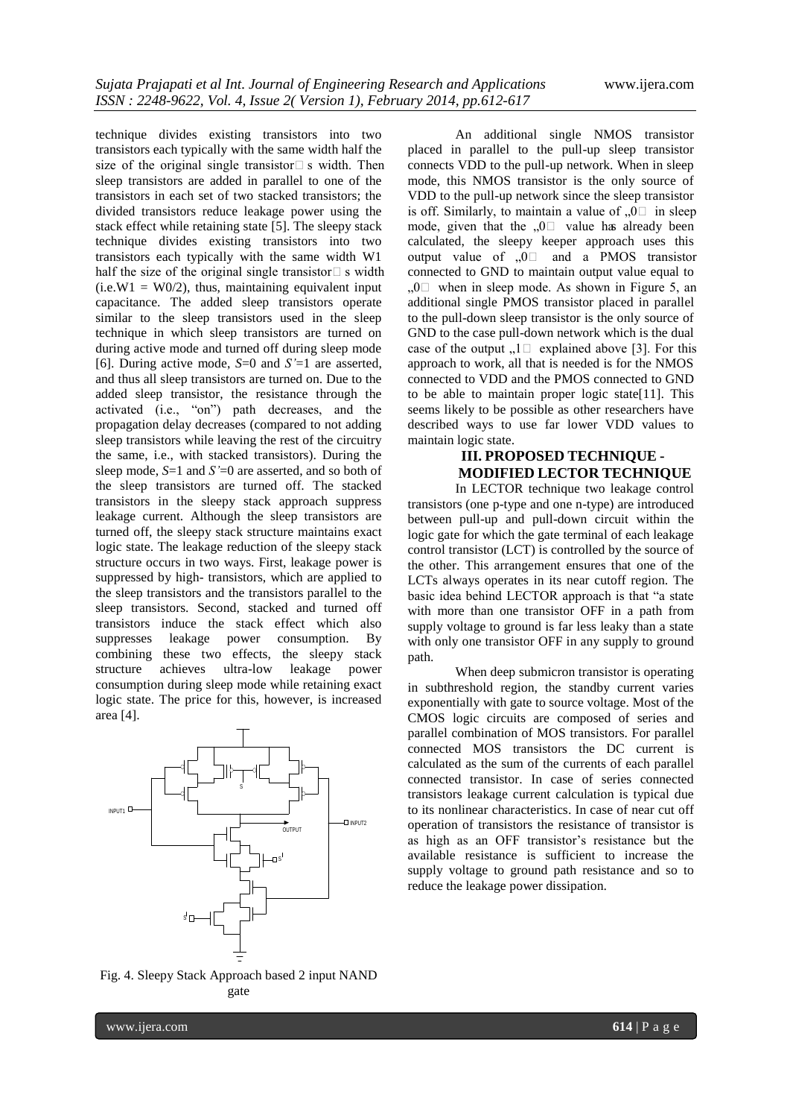technique divides existing transistors into two transistors each typically with the same width half the size of the original single transistor $\square$  s width. Then sleep transistors are added in parallel to one of the transistors in each set of two stacked transistors; the divided transistors reduce leakage power using the stack effect while retaining state [5]. The sleepy stack technique divides existing transistors into two transistors each typically with the same width W1 half the size of the original single transistor $\Box$  s width  $(i.e.W1 = W0/2)$ , thus, maintaining equivalent input capacitance. The added sleep transistors operate similar to the sleep transistors used in the sleep technique in which sleep transistors are turned on during active mode and turned off during sleep mode [6]. During active mode, *S*=0 and *S'*=1 are asserted, and thus all sleep transistors are turned on. Due to the added sleep transistor, the resistance through the activated (i.e., "on") path decreases, and the propagation delay decreases (compared to not adding sleep transistors while leaving the rest of the circuitry the same, i.e., with stacked transistors). During the sleep mode, *S*=1 and *S'*=0 are asserted, and so both of the sleep transistors are turned off. The stacked transistors in the sleepy stack approach suppress leakage current. Although the sleep transistors are turned off, the sleepy stack structure maintains exact logic state. The leakage reduction of the sleepy stack structure occurs in two ways. First, leakage power is suppressed by high- transistors, which are applied to the sleep transistors and the transistors parallel to the sleep transistors. Second, stacked and turned off transistors induce the stack effect which also suppresses leakage power consumption. By combining these two effects, the sleepy stack structure achieves ultra-low leakage power consumption during sleep mode while retaining exact logic state. The price for this, however, is increased area [4].



An additional single NMOS transistor placed in parallel to the pull-up sleep transistor connects VDD to the pull-up network. When in sleep mode, this NMOS transistor is the only source of VDD to the pull-up network since the sleep transistor is off. Similarly, to maintain a value of  $\Box$  in sleep mode, given that the  $, 0$  value has already been calculated, the sleepy keeper approach uses this output value of  $\Omega$  and a PMOS transistor connected to GND to maintain output value equal to  $,0$  when in sleep mode. As shown in Figure 5, an additional single PMOS transistor placed in parallel to the pull-down sleep transistor is the only source of GND to the case pull-down network which is the dual case of the output  $\Box$  1. Explained above [3]. For this approach to work, all that is needed is for the NMOS connected to VDD and the PMOS connected to GND to be able to maintain proper logic state[11]. This seems likely to be possible as other researchers have described ways to use far lower VDD values to maintain logic state.

# **III. PROPOSED TECHNIQUE - MODIFIED LECTOR TECHNIQUE**

In LECTOR technique two leakage control transistors (one p-type and one n-type) are introduced between pull-up and pull-down circuit within the logic gate for which the gate terminal of each leakage control transistor (LCT) is controlled by the source of the other. This arrangement ensures that one of the LCTs always operates in its near cutoff region. The basic idea behind LECTOR approach is that "a state with more than one transistor OFF in a path from supply voltage to ground is far less leaky than a state with only one transistor OFF in any supply to ground path.

When deep submicron transistor is operating in subthreshold region, the standby current varies exponentially with gate to source voltage. Most of the CMOS logic circuits are composed of series and parallel combination of MOS transistors. For parallel connected MOS transistors the DC current is calculated as the sum of the currents of each parallel connected transistor. In case of series connected transistors leakage current calculation is typical due to its nonlinear characteristics. In case of near cut off operation of transistors the resistance of transistor is as high as an OFF transistor's resistance but the available resistance is sufficient to increase the supply voltage to ground path resistance and so to reduce the leakage power dissipation.

Fig. 4. Sleepy Stack Approach based 2 input NAND gate

www.ijera.com **614** | P a g e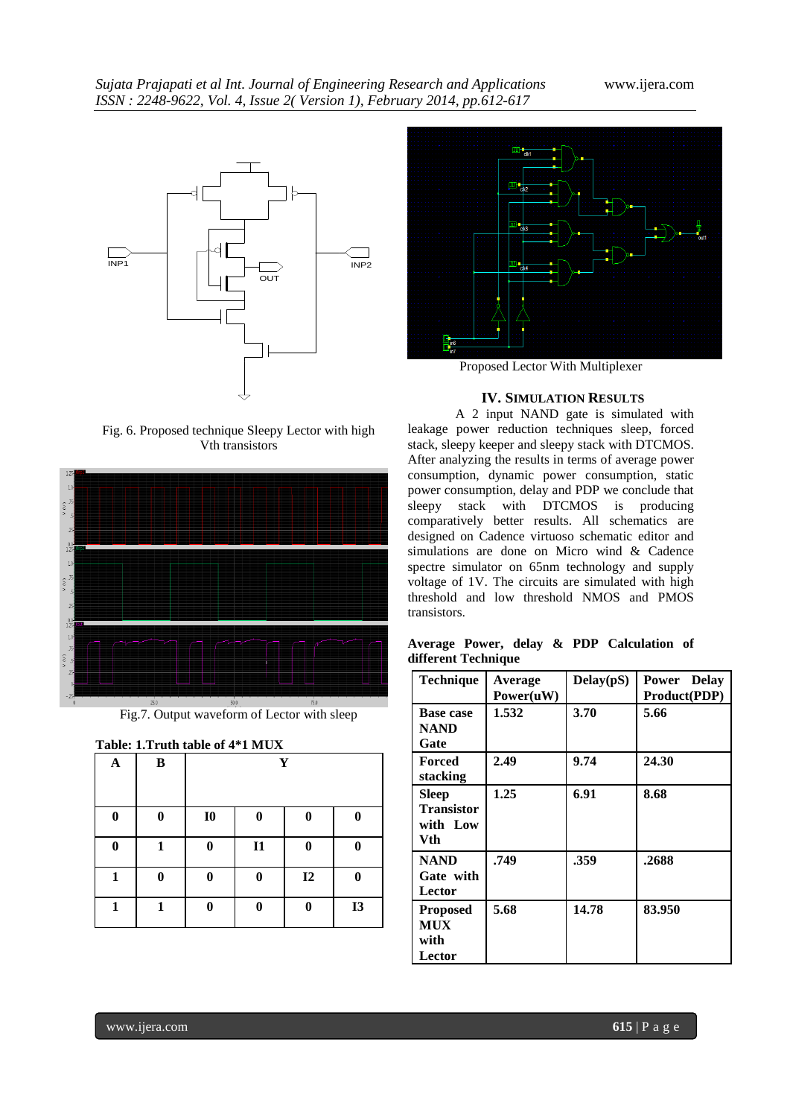

Fig. 6. Proposed technique Sleepy Lector with high Vth transistors



Fig.7. Output waveform of Lector with sleep

| Table: 1.Truth table of 4*1 MUX |  |  |
|---------------------------------|--|--|
|                                 |  |  |

| $\mathbf A$ | $\bf{B}$     | Y              |                  |          |           |
|-------------|--------------|----------------|------------------|----------|-----------|
| 0           | $\bf{0}$     | I <sub>0</sub> | 0                | 0        | 0         |
| $\bf{0}$    | 1            | $\bf{0}$       | $\mathbf{I}$     | $\bf{0}$ | $\bf{0}$  |
| 1           | $\mathbf{0}$ | $\bf{0}$       | $\boldsymbol{0}$ | I2       | $\bf{0}$  |
| 1           | 1            | 0              | $\boldsymbol{0}$ | $\bf{0}$ | <b>I3</b> |



Proposed Lector With Multiplexer

### **IV. SIMULATION RESULTS**

A 2 input NAND gate is simulated with leakage power reduction techniques sleep, forced stack, sleepy keeper and sleepy stack with DTCMOS. After analyzing the results in terms of average power consumption, dynamic power consumption, static power consumption, delay and PDP we conclude that sleepy stack with DTCMOS is producing comparatively better results. All schematics are designed on Cadence virtuoso schematic editor and simulations are done on Micro wind & Cadence spectre simulator on 65nm technology and supply voltage of 1V. The circuits are simulated with high threshold and low threshold NMOS and PMOS transistors.

**Average Power, delay & PDP Calculation of different Technique**

| <b>Technique</b>                                | Average<br>Power(uW) | Delay(pS) | Power Delay<br>Product(PDP) |
|-------------------------------------------------|----------------------|-----------|-----------------------------|
| <b>Base case</b><br><b>NAND</b><br>Gate         | 1.532                | 3.70      | 5.66                        |
| Forced<br>stacking                              | 2.49                 | 9.74      | 24.30                       |
| Sleep<br><b>Transistor</b><br>with Low<br>Vth   | 1.25                 | 6.91      | 8.68                        |
| <b>NAND</b><br>Gate with<br>Lector              | .749                 | .359      | .2688                       |
| <b>Proposed</b><br><b>MUX</b><br>with<br>Lector | 5.68                 | 14.78     | 83.950                      |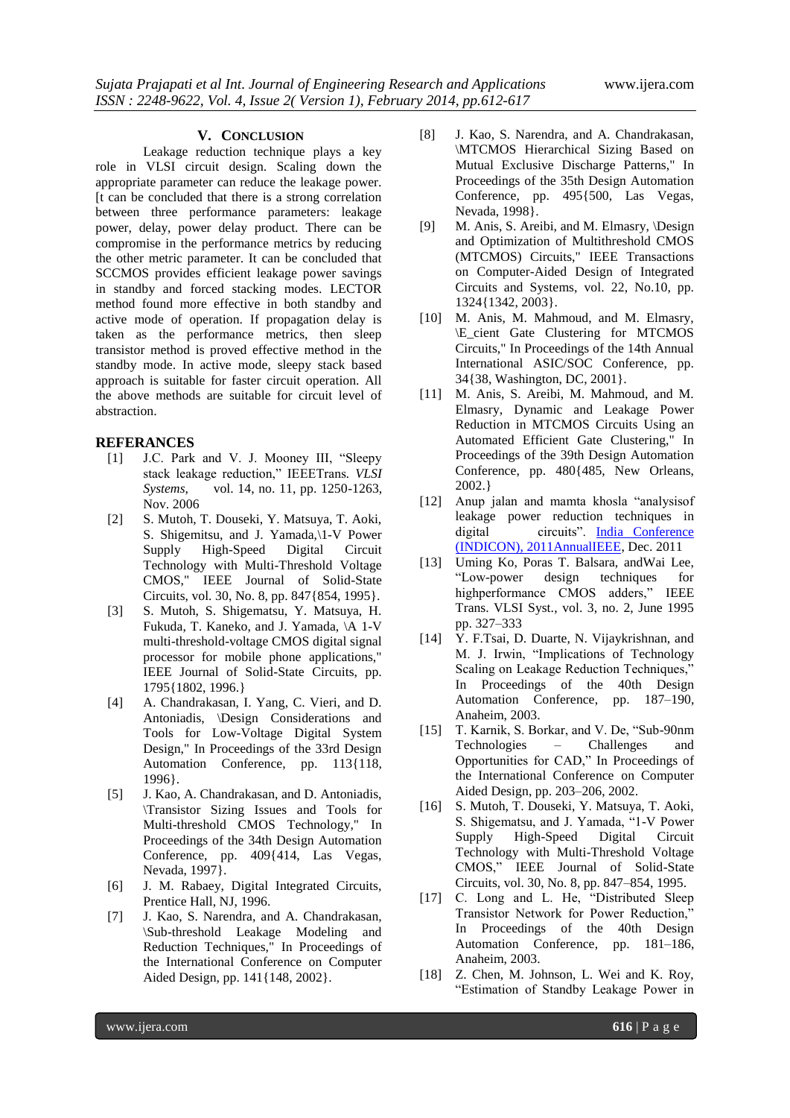#### **V. CONCLUSION**

Leakage reduction technique plays a key role in VLSI circuit design. Scaling down the appropriate parameter can reduce the leakage power. [t can be concluded that there is a strong correlation between three performance parameters: leakage power, delay, power delay product. There can be compromise in the performance metrics by reducing the other metric parameter. It can be concluded that SCCMOS provides efficient leakage power savings in standby and forced stacking modes. LECTOR method found more effective in both standby and active mode of operation. If propagation delay is taken as the performance metrics, then sleep transistor method is proved effective method in the standby mode. In active mode, sleepy stack based approach is suitable for faster circuit operation. All the above methods are suitable for circuit level of abstraction.

#### **REFERANCES**

- [1] J.C. Park and V. J. Mooney III, "Sleepy stack leakage reduction," IEEETrans*. VLSI Systems*, vol. 14, no. 11, pp. 1250-1263, Nov. 2006
- [2] S. Mutoh, T. Douseki, Y. Matsuya, T. Aoki, S. Shigemitsu, and J. Yamada,\1-V Power Supply High-Speed Digital Circuit Technology with Multi-Threshold Voltage CMOS," IEEE Journal of Solid-State Circuits, vol. 30, No. 8, pp. 847{854, 1995}.
- [3] S. Mutoh, S. Shigematsu, Y. Matsuya, H. Fukuda, T. Kaneko, and J. Yamada, \A 1-V multi-threshold-voltage CMOS digital signal processor for mobile phone applications," IEEE Journal of Solid-State Circuits, pp. 1795{1802, 1996.}
- [4] A. Chandrakasan, I. Yang, C. Vieri, and D. Antoniadis, \Design Considerations and Tools for Low-Voltage Digital System Design," In Proceedings of the 33rd Design Automation Conference, pp. 113{118, 1996}.
- [5] J. Kao, A. Chandrakasan, and D. Antoniadis, \Transistor Sizing Issues and Tools for Multi-threshold CMOS Technology," In Proceedings of the 34th Design Automation Conference, pp. 409{414, Las Vegas, Nevada, 1997}.
- [6] J. M. Rabaey, Digital Integrated Circuits, Prentice Hall, NJ, 1996.
- [7] J. Kao, S. Narendra, and A. Chandrakasan, \Sub-threshold Leakage Modeling and Reduction Techniques," In Proceedings of the International Conference on Computer Aided Design, pp. 141{148, 2002}.
- [8] J. Kao, S. Narendra, and A. Chandrakasan, \MTCMOS Hierarchical Sizing Based on Mutual Exclusive Discharge Patterns," In Proceedings of the 35th Design Automation Conference, pp. 495{500, Las Vegas, Nevada, 1998}.
- [9] M. Anis, S. Areibi, and M. Elmasry, \Design and Optimization of Multithreshold CMOS (MTCMOS) Circuits," IEEE Transactions on Computer-Aided Design of Integrated Circuits and Systems, vol. 22, No.10, pp. 1324{1342, 2003}.
- [10] M. Anis, M. Mahmoud, and M. Elmasry, \E\_cient Gate Clustering for MTCMOS Circuits," In Proceedings of the 14th Annual International ASIC/SOC Conference, pp. 34{38, Washington, DC, 2001}.
- [11] M. Anis, S. Areibi, M. Mahmoud, and M. Elmasry, Dynamic and Leakage Power Reduction in MTCMOS Circuits Using an Automated Efficient Gate Clustering," In Proceedings of the 39th Design Automation Conference, pp. 480{485, New Orleans, 2002.}
- [12] Anup jalan and mamta khosla "analysisof leakage power reduction techniques in digital circuits". [India Conference](http://ieeexplore.ieee.org/xpl/mostRecentIssue.jsp?punumber=6132476)  [\(INDICON\), 2011AnnualIEEE,](http://ieeexplore.ieee.org/xpl/mostRecentIssue.jsp?punumber=6132476) Dec. 2011
- [13] Uming Ko, Poras T. Balsara, andWai Lee, "Low-power design techniques for highperformance CMOS adders," IEEE Trans. VLSI Syst., vol. 3, no. 2, June 1995 pp. 327–333
- [14] Y. F.Tsai, D. Duarte, N. Vijaykrishnan, and M. J. Irwin, "Implications of Technology Scaling on Leakage Reduction Techniques," In Proceedings of the 40th Design Automation Conference, pp. 187–190, Anaheim, 2003.
- [15] T. Karnik, S. Borkar, and V. De, "Sub-90nm Technologies – Challenges and Opportunities for CAD," In Proceedings of the International Conference on Computer Aided Design, pp. 203–206, 2002.
- [16] S. Mutoh, T. Douseki, Y. Matsuya, T. Aoki, S. Shigematsu, and J. Yamada, "1-V Power Supply High-Speed Digital Circuit Technology with Multi-Threshold Voltage CMOS," IEEE Journal of Solid-State Circuits, vol. 30, No. 8, pp. 847–854, 1995.
- [17] C. Long and L. He, "Distributed Sleep Transistor Network for Power Reduction," In Proceedings of the 40th Design Automation Conference, pp. 181–186, Anaheim, 2003.
- [18] Z. Chen, M. Johnson, L. Wei and K. Roy, "Estimation of Standby Leakage Power in